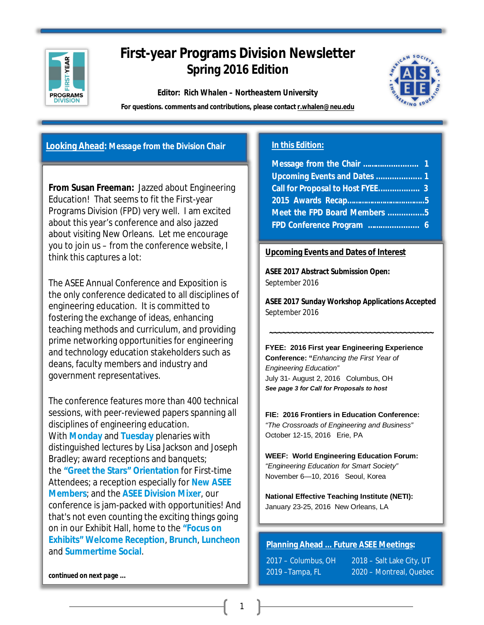

# **First-year Programs Division Newsletter Spring 2016 Edition**

*Editor: Rich Whalen – Northeastern University*



**For questions. comments and contributions, please contact [r.whalen@neu.edu](mailto:r.whalen@neu.edu)** 

# **Looking Ahead:** *Message from the Division Chair*

**From Susan Freeman:** Jazzed about Engineering Education! That seems to fit the First-year Programs Division (FPD) very well. I am excited about this year's conference and also jazzed about visiting New Orleans. Let me encourage you to join us – from the conference website, I think this captures a lot:

The ASEE Annual Conference and Exposition is the only conference dedicated to all disciplines of engineering education. It is committed to fostering the exchange of ideas, enhancing teaching methods and curriculum, and providing prime networking opportunities for engineering and technology education stakeholders such as deans, faculty members and industry and government representatives.

The conference features more than 400 technical sessions, with peer-reviewed papers spanning all disciplines of engineering education. With **Monday** and **Tuesday** plenaries with distinguished lectures by Lisa Jackson and Joseph Bradley; award receptions and banquets; the **"Greet the Stars" Orientation** for First-time Attendees; a reception especially for **New ASEE Members**; and the **ASEE Division Mixer**, our conference is jam-packed with opportunities! And that's not even counting the exciting things going on in our Exhibit Hall, home to the **"Focus on Exhibits" Welcome Reception**, **Brunch**, **Luncheon** and **Summertime Social**.

# **In this Edition:**

| Call for Proposal to Host FYEE 3 |  |
|----------------------------------|--|
|                                  |  |
| Meet the FPD Board Members 5     |  |
| FPD Conference Program  6        |  |

# **Upcoming Events and Dates of Interest**

**ASEE 2017 Abstract Submission Open:**  September 2016

**ASEE 2017 Sunday Workshop Applications Accepted**  September 2016

**~~~~~~~~~~~~~~~~~~~~~~~~~~~~~~~~~~~~~~**

**FYEE: 2016 First year Engineering Experience Conference: "***Enhancing the First Year of Engineering Education"* July 31- August 2, 2016 Columbus, OH *See page 3 for Call for Proposals to host*

**FIE: 2016 Frontiers in Education Conference:** *"The Crossroads of Engineering and Business"* October 12-15, 2016 Erie, PA

**WEEF: World Engineering Education Forum:** *"Engineering Education for Smart Society"* November 6—10, 2016 Seoul, Korea

**National Effective Teaching Institute (NETI):** January 23-25, 2016 New Orleans, LA

# **Planning Ahead ...** *Future ASEE Meetings***:**

| 2017 – Columbus, OH | 2018 – Salt Lake City, UT |
|---------------------|---------------------------|
| 2019 –Tampa, FL     | 2020 – Montreal, Quebec   |

*continued on next page ...*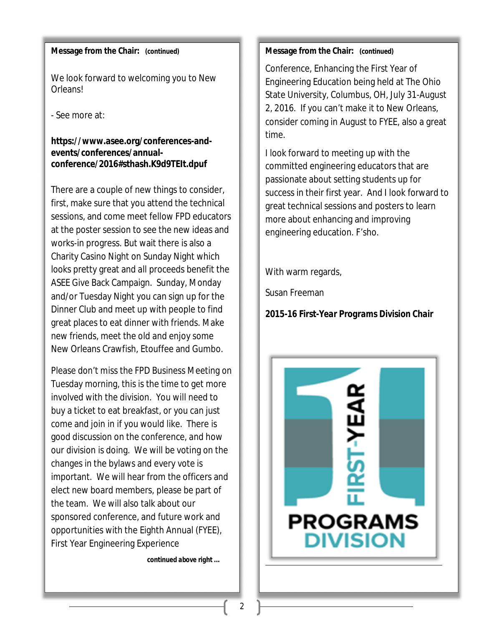# **Message from the Chair:** *(continued)*

We look forward to welcoming you to New Orleans!

- See more at:

# **[https://www.asee.org/conferences-and](https://www.asee.org/conferences-and-)events/conferences/annualconference/2016#sthash.K9d9TEIt.dpuf**

There are a couple of new things to consider, first, make sure that you attend the technical sessions, and come meet fellow FPD educators at the poster session to see the new ideas and works-in progress. But wait there is also a Charity Casino Night on Sunday Night which looks pretty great and all proceeds benefit the ASEE Give Back Campaign. Sunday, Monday and/or Tuesday Night you can sign up for the Dinner Club and meet up with people to find great places to eat dinner with friends. Make new friends, meet the old and enjoy some New Orleans Crawfish, Etouffee and Gumbo.

Please don't miss the FPD Business Meeting on Tuesday morning, this is the time to get more involved with the division. You will need to buy a ticket to eat breakfast, or you can just come and join in if you would like. There is good discussion on the conference, and how our division is doing. We will be voting on the changes in the bylaws and every vote is important. We will hear from the officers and elect new board members, please be part of the team. We will also talk about our sponsored conference, and future work and opportunities with the Eighth Annual (FYEE), First Year Engineering Experience

İ

*continued above right ...*

# **Message from the Chair:** *(continued)*

Conference, Enhancing the First Year of Engineering Education being held at The Ohio State University, Columbus, OH, July 31-August 2, 2016. If you can't make it to New Orleans, consider coming in August to FYEE, also a great time.

I look forward to meeting up with the committed engineering educators that are passionate about setting students up for success in their first year. And I look forward to great technical sessions and posters to learn more about enhancing and improving engineering education. F'sho.

With warm regards,

Susan Freeman

*2015-16 First-Year Programs Division Chair*

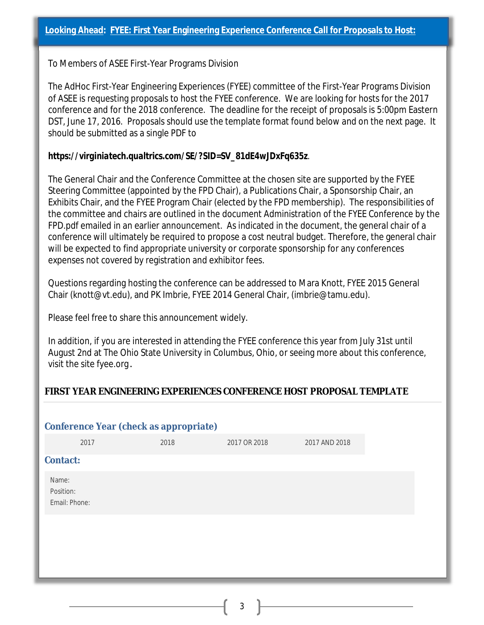To Members of ASEE First-Year Programs Division

The AdHoc First-Year Engineering Experiences (FYEE) committee of the First-Year Programs Division of ASEE is requesting proposals to host the FYEE conference. We are looking for hosts for the 2017 conference and for the 2018 conference. The deadline for the receipt of proposals is 5:00pm Eastern DST, June 17, 2016. Proposals should use the template format found below and on the next page. It should be submitted as a single PDF to

# *[https://virginiatech.qualtrics.com/SE/?SID=SV\\_81dE4wJDxFq635z](https://virginiatech.qualtrics.com/SE/?SID=SV_81dE4wJDxFq635z)*.

The General Chair and the Conference Committee at the chosen site are supported by the FYEE Steering Committee (appointed by the FPD Chair), a Publications Chair, a Sponsorship Chair, an Exhibits Chair, and the FYEE Program Chair (elected by the FPD membership). The responsibilities of the committee and chairs are outlined in the document Administration of the FYEE Conference by the FPD.pdf emailed in an earlier announcement. As indicated in the document, the general chair of a conference will ultimately be required to propose a cost neutral budget. Therefore, the general chair will be expected to find appropriate university or corporate sponsorship for any conferences expenses not covered by registration and exhibitor fees.

Questions regarding hosting the conference can be addressed to Mara Knott, FYEE 2015 General Chair [\(knott@vt.edu\),](mailto:(knott@vt.edu),) and PK Imbrie, FYEE 2014 General Chair, [\(imbrie@tamu.edu\).](mailto:(imbrie@tamu.edu).)

Please feel free to share this announcement widely.

In addition, if you are interested in attending the FYEE conference this year from July 31st until August 2nd at The Ohio State University in Columbus, Ohio, or seeing more about this conference, visit the site fyee.org.

# **FIRST YEAR ENGINEERING EXPERIENCES CONFERENCE HOST PROPOSAL TEMPLATE**

|                                     | <b>Conference Year (check as appropriate)</b> |                                   |               |  |
|-------------------------------------|-----------------------------------------------|-----------------------------------|---------------|--|
| 2017                                | 2018                                          | 2017 OR 2018                      | 2017 AND 2018 |  |
| <b>Contact:</b>                     |                                               |                                   |               |  |
| Name:<br>Position:<br>Email: Phone: |                                               |                                   |               |  |
|                                     |                                               | <b>Contract Contract Contract</b> |               |  |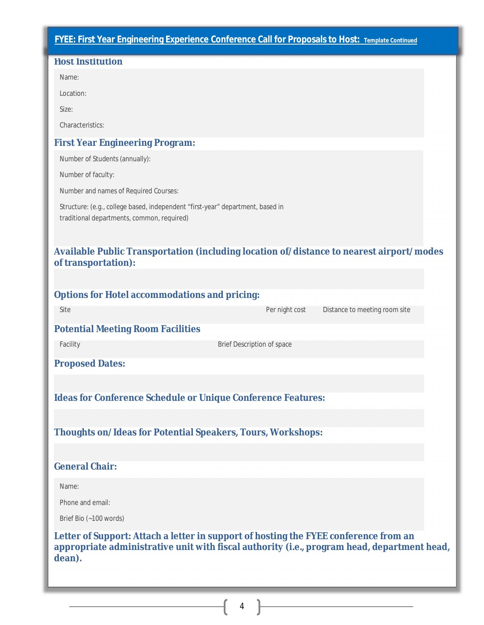# **FYEE: First Year Engineering Experience Conference Call for Proposals to Host:** *Template Continued*

| <b>Host Institution</b>                                                                                                                                                                       |  |
|-----------------------------------------------------------------------------------------------------------------------------------------------------------------------------------------------|--|
| Name:                                                                                                                                                                                         |  |
| Location:                                                                                                                                                                                     |  |
| Size:                                                                                                                                                                                         |  |
| Characteristics:                                                                                                                                                                              |  |
| <b>First Year Engineering Program:</b>                                                                                                                                                        |  |
| Number of Students (annually):                                                                                                                                                                |  |
| Number of faculty:                                                                                                                                                                            |  |
| Number and names of Required Courses:                                                                                                                                                         |  |
| Structure: (e.g., college based, independent "first-year" department, based in<br>traditional departments, common, required)                                                                  |  |
| Available Public Transportation (including location of/distance to nearest airport/modes<br>of transportation):                                                                               |  |
|                                                                                                                                                                                               |  |
| <b>Options for Hotel accommodations and pricing:</b><br>Distance to meeting room site<br>Site<br>Per night cost                                                                               |  |
|                                                                                                                                                                                               |  |
| <b>Potential Meeting Room Facilities</b><br>Facility<br>Brief Description of space                                                                                                            |  |
|                                                                                                                                                                                               |  |
| <b>Proposed Dates:</b>                                                                                                                                                                        |  |
|                                                                                                                                                                                               |  |
| <b>Ideas for Conference Schedule or Unique Conference Features:</b>                                                                                                                           |  |
| <b>Thoughts on/Ideas for Potential Speakers, Tours, Workshops:</b>                                                                                                                            |  |
|                                                                                                                                                                                               |  |
| <b>General Chair:</b>                                                                                                                                                                         |  |
| Name:                                                                                                                                                                                         |  |
| Phone and email:                                                                                                                                                                              |  |
| Brief Bio (~100 words)                                                                                                                                                                        |  |
| Letter of Support: Attach a letter in support of hosting the FYEE conference from an<br>appropriate administrative unit with fiscal authority (i.e., program head, department head,<br>dean). |  |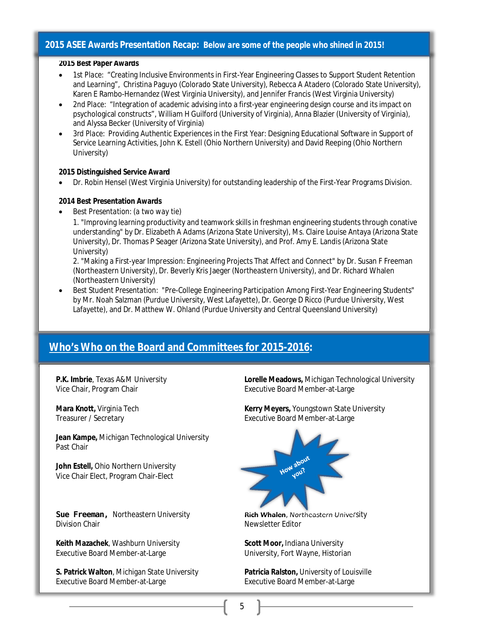## **2015 ASEE Awards Presentation Recap:** *Below are some of the people who shined in 2015!*

#### **2015 Best Paper Awards**

- *1st Place:* "Creating Inclusive Environments in First-Year Engineering Classes to Support Student Retention and Learning", Christina Paguyo (Colorado State University), Rebecca A Atadero (Colorado State University), Karen E Rambo-Hernandez (West Virginia University), and Jennifer Francis (West Virginia University)
- *2nd Place:* "Integration of academic advising into a first-year engineering design course and its impact on psychological constructs", William H Guilford (University of Virginia), Anna Blazier (University of Virginia), and Alyssa Becker (University of Virginia)
- *3rd Place:* Providing Authentic Experiences in the First Year: Designing Educational Software in Support of Service Learning Activities, John K. Estell (Ohio Northern University) and David Reeping (Ohio Northern University)

#### **2015 Distinguished Service Award**

Dr. Robin Hensel (West Virginia University) for outstanding leadership of the First-Year Programs Division.

#### **2014 Best Presentation Awards**

*Best Presentation: (a two way tie)*

1. "Improving learning productivity and teamwork skills in freshman engineering students through conative understanding" by Dr. Elizabeth A Adams (Arizona State University), Ms. Claire Louise Antaya (Arizona State University), Dr. Thomas P Seager (Arizona State University), and Prof. Amy E. Landis (Arizona State University)

2. "Making a First-year Impression: Engineering Projects That Affect and Connect" by Dr. Susan F Freeman (Northeastern University), Dr. Beverly Kris Jaeger (Northeastern University), and Dr. Richard Whalen (Northeastern University)

 *Best Student Presentation:* "Pre-College Engineering Participation Among First-Year Engineering Students" by Mr. Noah Salzman (Purdue University, West Lafayette), Dr. George D Ricco (Purdue University, West Lafayette), and Dr. Matthew W. Ohland (Purdue University and Central Queensland University)

# **Who's Who on the Board and Committees for 2015-2016:**

**Jean Kampe,** Michigan Technological University Past Chair

**John Estell,** Ohio Northern University Vice Chair Elect, Program Chair-Elect

**Sue Freeman, Northeastern University <b>Rich Whalen**, Northeastern University **Division Chair** Newsletter Editor

**Keith Mazachek**, Washburn University **Scott Moor,** Indiana University Executive Board Member-at-Large University, Fort Wayne, Historian

**S. Patrick Walton**, Michigan State University **Patricia Ralston,** University of Louisville Executive Board Member-at-Large **Executive Board Member-at-Large** 

**P.K. Imbrie**, Texas A&M University **Lorelle Meadows,** Michigan Technological University Vice Chair, Program Chair **Executive Board Member-at-Large** Executive Board Member-at-Large

**Mara Knott, Virginia Tech <b>Kerry Meyers**, Youngstown State University<br>
Treasurer / Secretary **Kerry Meyers**, *Executive Board Member-at-Large* Executive Board Member-at-Large

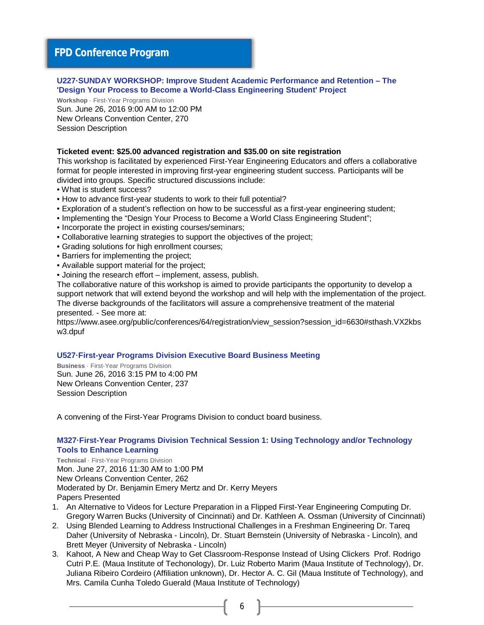# **FPD Conference Program**

#### **U227·SUNDAY WORKSHOP: Improve Student Academic Performance and Retention – The 'Design Your Process to Become a World-Class Engineering Student' Project**

**Workshop** · First-Year Programs Division Sun. June 26, 2016 9:00 AM to 12:00 PM New Orleans Convention Center, 270 Session Description

#### **Ticketed event: \$25.00 advanced registration and \$35.00 on site registration**

This workshop is facilitated by experienced First-Year Engineering Educators and offers a collaborative format for people interested in improving first-year engineering student success. Participants will be divided into groups. Specific structured discussions include:

- What is student success?
- How to advance first-year students to work to their full potential?
- Exploration of a student's reflection on how to be successful as a first-year engineering student;
- Implementing the "Design Your Process to Become a World Class Engineering Student";
- Incorporate the project in existing courses/seminars;
- Collaborative learning strategies to support the objectives of the project;
- Grading solutions for high enrollment courses;
- Barriers for implementing the project;
- Available support material for the project;
- Joining the research effort implement, assess, publish.

The collaborative nature of this workshop is aimed to provide participants the opportunity to develop a support network that will extend beyond the workshop and will help with the implementation of the project. The diverse backgrounds of the facilitators will assure a comprehensive treatment of the material presented. - See more at:

[https://www.asee.org/public/conferences/64/registration/view\\_session?session\\_id=6630#sthash.VX2kbs](https://www.asee.org/public/conferences/64/registration/view_session?session_id=6630#sthash.VX2kbs) w3.dpuf

#### **U527·First-year Programs Division Executive Board Business Meeting**

**Business** · First-Year Programs Division Sun. June 26, 2016 3:15 PM to 4:00 PM New Orleans Convention Center, 237 Session Description

A convening of the First-Year Programs Division to conduct board business.

#### **M327·First-Year Programs Division Technical Session 1: Using Technology and/or Technology Tools to Enhance Learning**

**Technical** · First-Year Programs Division Mon. June 27, 2016 11:30 AM to 1:00 PM New Orleans Convention Center, 262 Moderated by Dr. Benjamin Emery Mertz and Dr. Kerry Meyers Papers Presented

- 1. An Alternative to Videos for Lecture Preparation in a Flipped First-Year Engineering Computing Dr. Gregory Warren Bucks (University of Cincinnati) and Dr. Kathleen A. Ossman (University of Cincinnati)
- 2. Using Blended Learning to Address Instructional Challenges in a Freshman Engineering Dr. Tareq Daher (University of Nebraska - Lincoln), Dr. Stuart Bernstein (University of Nebraska - Lincoln), and Brett Meyer (University of Nebraska - Lincoln)
- 3. Kahoot, A New and Cheap Way to Get Classroom-Response Instead of Using Clickers Prof. Rodrigo Cutri P.E. (Maua Institute of Techonology), Dr. Luiz Roberto Marim (Maua Institute of Technology), Dr. Juliana Ribeiro Cordeiro (Affiliation unknown), Dr. Hector A. C. Gil (Maua Institute of Technology), and Mrs. Camila Cunha Toledo Guerald (Maua Institute of Technology)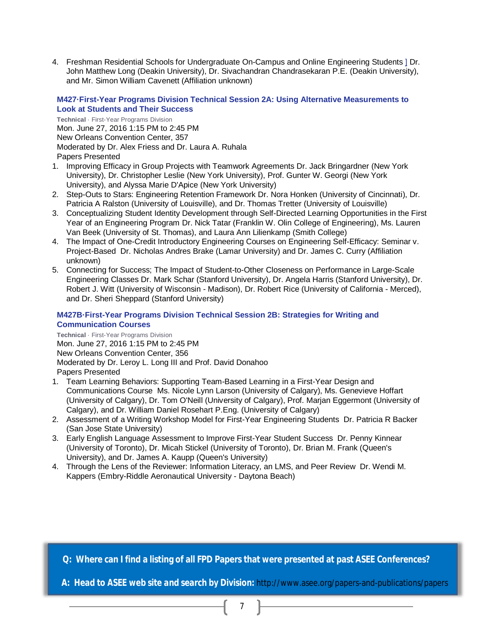4. Freshman Residential Schools for Undergraduate On-Campus and Online Engineering Students ] Dr. John Matthew Long (Deakin University), Dr. Sivachandran Chandrasekaran P.E. (Deakin University), and Mr. Simon William Cavenett (Affiliation unknown)

#### **M427·First-Year Programs Division Technical Session 2A: Using Alternative Measurements to Look at Students and Their Success**

**Technical** · First-Year Programs Division Mon. June 27, 2016 1:15 PM to 2:45 PM New Orleans Convention Center, 357 Moderated by Dr. Alex Friess and Dr. Laura A. Ruhala Papers Presented

- 1. Improving Efficacy in Group Projects with Teamwork Agreements Dr. Jack Bringardner (New York University), Dr. Christopher Leslie (New York University), Prof. Gunter W. Georgi (New York University), and Alyssa Marie D'Apice (New York University)
- 2. Step-Outs to Stars: Engineering Retention Framework Dr. Nora Honken (University of Cincinnati), Dr. Patricia A Ralston (University of Louisville), and Dr. Thomas Tretter (University of Louisville)
- 3. Conceptualizing Student Identity Development through Self-Directed Learning Opportunities in the First Year of an Engineering Program Dr. Nick Tatar (Franklin W. Olin College of Engineering), Ms. Lauren Van Beek (University of St. Thomas), and Laura Ann Lilienkamp (Smith College)
- 4. The Impact of One-Credit Introductory Engineering Courses on Engineering Self-Efficacy: Seminar v. Project-Based Dr. Nicholas Andres Brake (Lamar University) and Dr. James C. Curry (Affiliation unknown)
- 5. Connecting for Success; The Impact of Student-to-Other Closeness on Performance in Large-Scale Engineering Classes Dr. Mark Schar (Stanford University), Dr. Angela Harris (Stanford University), Dr. Robert J. Witt (University of Wisconsin - Madison), Dr. Robert Rice (University of California - Merced), and Dr. Sheri Sheppard (Stanford University)

## **M427B·First-Year Programs Division Technical Session 2B: Strategies for Writing and Communication Courses**

**Technical** · First-Year Programs Division Mon. June 27, 2016 1:15 PM to 2:45 PM New Orleans Convention Center, 356 Moderated by Dr. Leroy L. Long III and Prof. David Donahoo Papers Presented

- 1. Team Learning Behaviors: Supporting Team-Based Learning in a First-Year Design and Communications Course Ms. Nicole Lynn Larson (University of Calgary), Ms. Genevieve Hoffart (University of Calgary), Dr. Tom O'Neill (University of Calgary), Prof. Marjan Eggermont (University of Calgary), and Dr. William Daniel Rosehart P.Eng. (University of Calgary)
- 2. Assessment of a Writing Workshop Model for First-Year Engineering Students Dr. Patricia R Backer (San Jose State University)
- 3. Early English Language Assessment to Improve First-Year Student Success Dr. Penny Kinnear (University of Toronto), Dr. Micah Stickel (University of Toronto), Dr. Brian M. Frank (Queen's University), and Dr. James A. Kaupp (Queen's University)
- 4. Through the Lens of the Reviewer: Information Literacy, an LMS, and Peer Review Dr. Wendi M. Kappers (Embry-Riddle Aeronautical University - Daytona Beach)

**Q: Where can I find a listing of all FPD Papers that were presented at past ASEE Conferences?**

 **A:** *Head to ASEE web site and search by Division:* <http://www.asee.org/papers-and-publications/papers>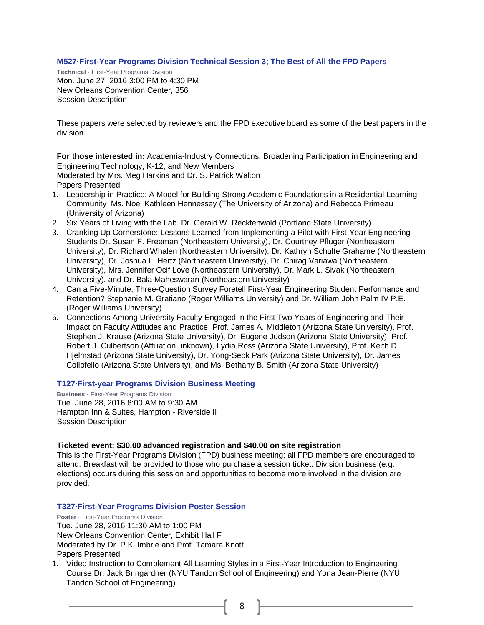#### **M527·First-Year Programs Division Technical Session 3; The Best of All the FPD Papers**

**Technical** · First-Year Programs Division Mon. June 27, 2016 3:00 PM to 4:30 PM New Orleans Convention Center, 356 Session Description

These papers were selected by reviewers and the FPD executive board as some of the best papers in the division.

**For those interested in:** Academia-Industry Connections, Broadening Participation in Engineering and Engineering Technology, K-12, and New Members

Moderated by Mrs. Meg Harkins and Dr. S. Patrick Walton

Papers Presented

- 1. Leadership in Practice: A Model for Building Strong Academic Foundations in a Residential Learning Community Ms. Noel Kathleen Hennessey (The University of Arizona) and Rebecca Primeau (University of Arizona)
- 2. Six Years of Living with the Lab Dr. Gerald W. Recktenwald (Portland State University)
- 3. Cranking Up Cornerstone: Lessons Learned from Implementing a Pilot with First-Year Engineering Students Dr. Susan F. Freeman (Northeastern University), Dr. Courtney Pfluger (Northeastern University), Dr. Richard Whalen (Northeastern University), Dr. Kathryn Schulte Grahame (Northeastern University), Dr. Joshua L. Hertz (Northeastern University), Dr. Chirag Variawa (Northeastern University), Mrs. Jennifer Ocif Love (Northeastern University), Dr. Mark L. Sivak (Northeastern University), and Dr. Bala Maheswaran (Northeastern University)
- 4. Can a Five-Minute, Three-Question Survey Foretell First-Year Engineering Student Performance and Retention? Stephanie M. Gratiano (Roger Williams University) and Dr. William John Palm IV P.E. (Roger Williams University)
- 5. Connections Among University Faculty Engaged in the First Two Years of Engineering and Their Impact on Faculty Attitudes and Practice Prof. James A. Middleton (Arizona State University), Prof. Stephen J. Krause (Arizona State University), Dr. Eugene Judson (Arizona State University), Prof. Robert J. Culbertson (Affiliation unknown), Lydia Ross (Arizona State University), Prof. Keith D. Hjelmstad (Arizona State University), Dr. Yong-Seok Park (Arizona State University), Dr. James Collofello (Arizona State University), and Ms. Bethany B. Smith (Arizona State University)

#### **T127·First-year Programs Division Business Meeting**

**Business** · First-Year Programs Division Tue. June 28, 2016 8:00 AM to 9:30 AM Hampton Inn & Suites, Hampton - Riverside II Session Description

#### **Ticketed event: \$30.00 advanced registration and \$40.00 on site registration**

This is the First-Year Programs Division (FPD) business meeting; all FPD members are encouraged to attend. Breakfast will be provided to those who purchase a session ticket. Division business (e.g. elections) occurs during this session and opportunities to become more involved in the division are provided.

#### **T327·First-Year Programs Division Poster Session**

**Poster** · First-Year Programs Division Tue. June 28, 2016 11:30 AM to 1:00 PM New Orleans Convention Center, Exhibit Hall F Moderated by Dr. P.K. Imbrie and Prof. Tamara Knott Papers Presented

1. Video Instruction to Complement All Learning Styles in a First-Year Introduction to Engineering Course Dr. Jack Bringardner (NYU Tandon School of Engineering) and Yona Jean-Pierre (NYU Tandon School of Engineering)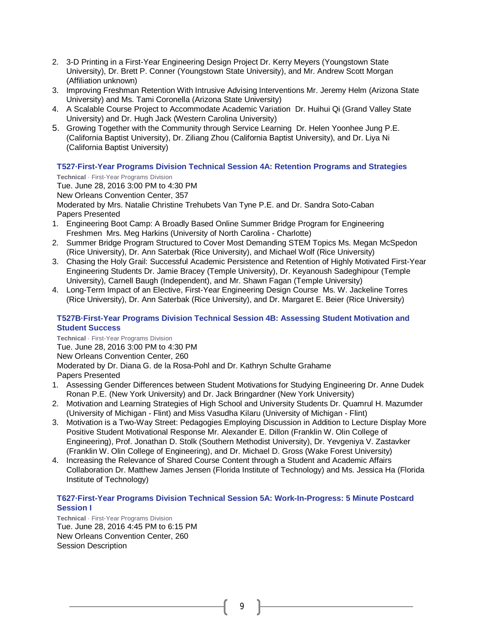- 2. 3-D Printing in a First-Year Engineering Design Project Dr. Kerry Meyers (Youngstown State University), Dr. Brett P. Conner (Youngstown State University), and Mr. Andrew Scott Morgan (Affiliation unknown)
- 3. Improving Freshman Retention With Intrusive Advising Interventions Mr. Jeremy Helm (Arizona State University) and Ms. Tami Coronella (Arizona State University)
- 4. A Scalable Course Project to Accommodate Academic Variation Dr. Huihui Qi (Grand Valley State University) and Dr. Hugh Jack (Western Carolina University)
- 5. Growing Together with the Community through Service Learning Dr. Helen Yoonhee Jung P.E. (California Baptist University), Dr. Ziliang Zhou (California Baptist University), and Dr. Liya Ni (California Baptist University)

## **T527·First-Year Programs Division Technical Session 4A: Retention Programs and Strategies**

**Technical** · First-Year Programs Division

Tue. June 28, 2016 3:00 PM to 4:30 PM New Orleans Convention Center, 357 Moderated by Mrs. Natalie Christine Trehubets Van Tyne P.E. and Dr. Sandra Soto-Caban Papers Presented

- 1. Engineering Boot Camp: A Broadly Based Online Summer Bridge Program for Engineering Freshmen Mrs. Meg Harkins (University of North Carolina - Charlotte)
- 2. Summer Bridge Program Structured to Cover Most Demanding STEM Topics Ms. Megan McSpedon (Rice University), Dr. Ann Saterbak (Rice University), and Michael Wolf (Rice University)
- 3. Chasing the Holy Grail: Successful Academic Persistence and Retention of Highly Motivated First-Year Engineering Students Dr. Jamie Bracey (Temple University), Dr. Keyanoush Sadeghipour (Temple University), Carnell Baugh (Independent), and Mr. Shawn Fagan (Temple University)
- 4. Long-Term Impact of an Elective, First-Year Engineering Design Course Ms. W. Jackeline Torres (Rice University), Dr. Ann Saterbak (Rice University), and Dr. Margaret E. Beier (Rice University)

## **T527B·First-Year Programs Division Technical Session 4B: Assessing Student Motivation and Student Success**

**Technical** · First-Year Programs Division

Tue. June 28, 2016 3:00 PM to 4:30 PM

New Orleans Convention Center, 260

Moderated by Dr. Diana G. de la Rosa-Pohl and Dr. Kathryn Schulte Grahame Papers Presented

- 1. Assessing Gender Differences between Student Motivations for Studying Engineering Dr. Anne Dudek Ronan P.E. (New York University) and Dr. Jack Bringardner (New York University)
- 2. Motivation and Learning Strategies of High School and University Students Dr. Quamrul H. Mazumder (University of Michigan - Flint) and Miss Vasudha Kilaru (University of Michigan - Flint)
- 3. Motivation is a Two-Way Street: Pedagogies Employing Discussion in Addition to Lecture Display More Positive Student Motivational Response Mr. Alexander E. Dillon (Franklin W. Olin College of Engineering), Prof. Jonathan D. Stolk (Southern Methodist University), Dr. Yevgeniya V. Zastavker (Franklin W. Olin College of Engineering), and Dr. Michael D. Gross (Wake Forest University)
- 4. Increasing the Relevance of Shared Course Content through a Student and Academic Affairs Collaboration Dr. Matthew James Jensen (Florida Institute of Technology) and Ms. Jessica Ha (Florida Institute of Technology)

## **T627·First-Year Programs Division Technical Session 5A: Work-In-Progress: 5 Minute Postcard Session I**

**Technical** · First-Year Programs Division Tue. June 28, 2016 4:45 PM to 6:15 PM New Orleans Convention Center, 260 Session Description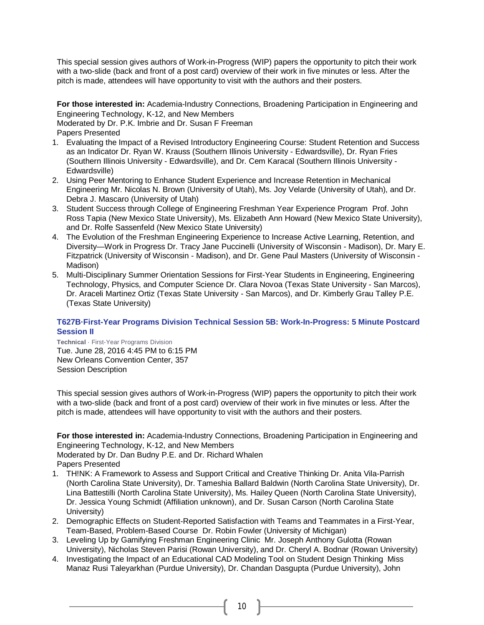This special session gives authors of Work-in-Progress (WIP) papers the opportunity to pitch their work with a two-slide (back and front of a post card) overview of their work in five minutes or less. After the pitch is made, attendees will have opportunity to visit with the authors and their posters.

**For those interested in:** Academia-Industry Connections, Broadening Participation in Engineering and Engineering Technology, K-12, and New Members

Moderated by Dr. P.K. Imbrie and Dr. Susan F Freeman

Papers Presented

- 1. Evaluating the Impact of a Revised Introductory Engineering Course: Student Retention and Success as an Indicator Dr. Ryan W. Krauss (Southern Illinois University - Edwardsville), Dr. Ryan Fries (Southern Illinois University - Edwardsville), and Dr. Cem Karacal (Southern Illinois University - Edwardsville)
- 2. Using Peer Mentoring to Enhance Student Experience and Increase Retention in Mechanical Engineering Mr. Nicolas N. Brown (University of Utah), Ms. Joy Velarde (University of Utah), and Dr. Debra J. Mascaro (University of Utah)
- 3. Student Success through College of Engineering Freshman Year Experience Program Prof. John Ross Tapia (New Mexico State University), Ms. Elizabeth Ann Howard (New Mexico State University), and Dr. Rolfe Sassenfeld (New Mexico State University)
- 4. The Evolution of the Freshman Engineering Experience to Increase Active Learning, Retention, and Diversity—Work in Progress Dr. Tracy Jane Puccinelli (University of Wisconsin - Madison), Dr. Mary E. Fitzpatrick (University of Wisconsin - Madison), and Dr. Gene Paul Masters (University of Wisconsin - Madison)
- 5. Multi-Disciplinary Summer Orientation Sessions for First-Year Students in Engineering, Engineering Technology, Physics, and Computer Science Dr. Clara Novoa (Texas State University - San Marcos), Dr. Araceli Martinez Ortiz (Texas State University - San Marcos), and Dr. Kimberly Grau Talley P.E. (Texas State University)

## **T627B·First-Year Programs Division Technical Session 5B: Work-In-Progress: 5 Minute Postcard Session II**

**Technical** · First-Year Programs Division Tue. June 28, 2016 4:45 PM to 6:15 PM New Orleans Convention Center, 357 Session Description

This special session gives authors of Work-in-Progress (WIP) papers the opportunity to pitch their work with a two-slide (back and front of a post card) overview of their work in five minutes or less. After the pitch is made, attendees will have opportunity to visit with the authors and their posters.

**For those interested in:** Academia-Industry Connections, Broadening Participation in Engineering and Engineering Technology, K-12, and New Members

Moderated by Dr. Dan Budny P.E. and Dr. Richard Whalen Papers Presented

- 1. TH!NK: A Framework to Assess and Support Critical and Creative Thinking Dr. Anita Vila-Parrish (North Carolina State University), Dr. Tameshia Ballard Baldwin (North Carolina State University), Dr. Lina Battestilli (North Carolina State University), Ms. Hailey Queen (North Carolina State University), Dr. Jessica Young Schmidt (Affiliation unknown), and Dr. Susan Carson (North Carolina State University)
- 2. Demographic Effects on Student-Reported Satisfaction with Teams and Teammates in a First-Year, Team-Based, Problem-Based Course Dr. Robin Fowler (University of Michigan)
- 3. Leveling Up by Gamifying Freshman Engineering Clinic Mr. Joseph Anthony Gulotta (Rowan University), Nicholas Steven Parisi (Rowan University), and Dr. Cheryl A. Bodnar (Rowan University)
- 4. Investigating the Impact of an Educational CAD Modeling Tool on Student Design Thinking Miss Manaz Rusi Taleyarkhan (Purdue University), Dr. Chandan Dasgupta (Purdue University), John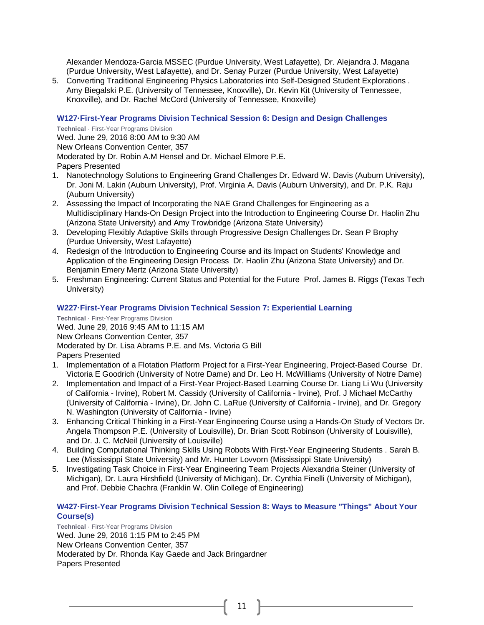Alexander Mendoza-Garcia MSSEC (Purdue University, West Lafayette), Dr. Alejandra J. Magana (Purdue University, West Lafayette), and Dr. Senay Purzer (Purdue University, West Lafayette)

5. Converting Traditional Engineering Physics Laboratories into Self-Designed Student Explorations . Amy Biegalski P.E. (University of Tennessee, Knoxville), Dr. Kevin Kit (University of Tennessee, Knoxville), and Dr. Rachel McCord (University of Tennessee, Knoxville)

#### **W127·First-Year Programs Division Technical Session 6: Design and Design Challenges**

**Technical** · First-Year Programs Division Wed. June 29, 2016 8:00 AM to 9:30 AM New Orleans Convention Center, 357 Moderated by Dr. Robin A.M Hensel and Dr. Michael Elmore P.E. Papers Presented

- 1. Nanotechnology Solutions to Engineering Grand Challenges Dr. Edward W. Davis (Auburn University), Dr. Joni M. Lakin (Auburn University), Prof. Virginia A. Davis (Auburn University), and Dr. P.K. Raju (Auburn University)
- 2. Assessing the Impact of Incorporating the NAE Grand Challenges for Engineering as a Multidisciplinary Hands-On Design Project into the Introduction to Engineering Course Dr. Haolin Zhu (Arizona State University) and Amy Trowbridge (Arizona State University)
- 3. Developing Flexibly Adaptive Skills through Progressive Design Challenges Dr. Sean P Brophy (Purdue University, West Lafayette)
- 4. Redesign of the Introduction to Engineering Course and its Impact on Students' Knowledge and Application of the Engineering Design Process Dr. Haolin Zhu (Arizona State University) and Dr. Benjamin Emery Mertz (Arizona State University)
- 5. Freshman Engineering: Current Status and Potential for the Future Prof. James B. Riggs (Texas Tech University)

#### **W227·First-Year Programs Division Technical Session 7: Experiential Learning**

**Technical** · First-Year Programs Division Wed. June 29, 2016 9:45 AM to 11:15 AM New Orleans Convention Center, 357 Moderated by Dr. Lisa Abrams P.E. and Ms. Victoria G Bill Papers Presented

- 1. Implementation of a Flotation Platform Project for a First-Year Engineering, Project-Based Course Dr. Victoria E Goodrich (University of Notre Dame) and Dr. Leo H. McWilliams (University of Notre Dame)
- 2. Implementation and Impact of a First-Year Project-Based Learning Course Dr. Liang Li Wu (University of California - Irvine), Robert M. Cassidy (University of California - Irvine), Prof. J Michael McCarthy (University of California - Irvine), Dr. John C. LaRue (University of California - Irvine), and Dr. Gregory N. Washington (University of California - Irvine)
- 3. Enhancing Critical Thinking in a First-Year Engineering Course using a Hands-On Study of Vectors Dr. Angela Thompson P.E. (University of Louisville), Dr. Brian Scott Robinson (University of Louisville), and Dr. J. C. McNeil (University of Louisville)
- 4. Building Computational Thinking Skills Using Robots With First-Year Engineering Students . Sarah B. Lee (Mississippi State University) and Mr. Hunter Lovvorn (Mississippi State University)
- 5. Investigating Task Choice in First-Year Engineering Team Projects Alexandria Steiner (University of Michigan), Dr. Laura Hirshfield (University of Michigan), Dr. Cynthia Finelli (University of Michigan), and Prof. Debbie Chachra (Franklin W. Olin College of Engineering)

#### **W427·First-Year Programs Division Technical Session 8: Ways to Measure "Things" About Your Course(s)**

11

**Technical** · First-Year Programs Division Wed. June 29, 2016 1:15 PM to 2:45 PM New Orleans Convention Center, 357 Moderated by Dr. Rhonda Kay Gaede and Jack Bringardner Papers Presented